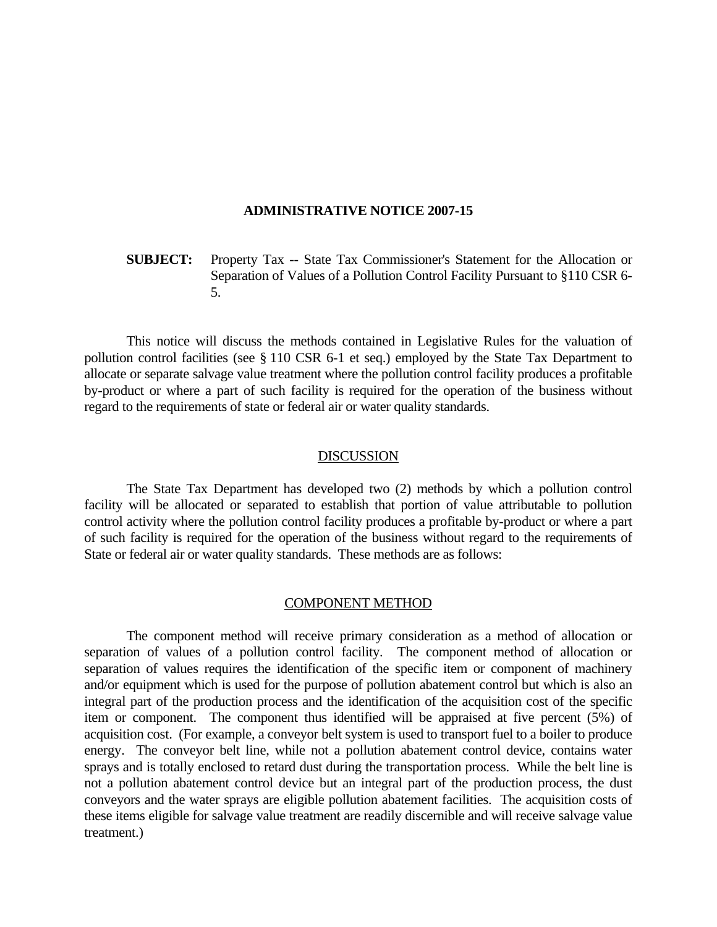#### **ADMINISTRATIVE NOTICE 2007-15**

# **SUBJECT:** Property Tax -- State Tax Commissioner's Statement for the Allocation or Separation of Values of a Pollution Control Facility Pursuant to §110 CSR 6- 5.

 This notice will discuss the methods contained in Legislative Rules for the valuation of pollution control facilities (see § 110 CSR 6-1 et seq.) employed by the State Tax Department to allocate or separate salvage value treatment where the pollution control facility produces a profitable by-product or where a part of such facility is required for the operation of the business without regard to the requirements of state or federal air or water quality standards.

### DISCUSSION

 The State Tax Department has developed two (2) methods by which a pollution control facility will be allocated or separated to establish that portion of value attributable to pollution control activity where the pollution control facility produces a profitable by-product or where a part of such facility is required for the operation of the business without regard to the requirements of State or federal air or water quality standards. These methods are as follows:

#### COMPONENT METHOD

 The component method will receive primary consideration as a method of allocation or separation of values of a pollution control facility. The component method of allocation or separation of values requires the identification of the specific item or component of machinery and/or equipment which is used for the purpose of pollution abatement control but which is also an integral part of the production process and the identification of the acquisition cost of the specific item or component. The component thus identified will be appraised at five percent (5%) of acquisition cost. (For example, a conveyor belt system is used to transport fuel to a boiler to produce energy. The conveyor belt line, while not a pollution abatement control device, contains water sprays and is totally enclosed to retard dust during the transportation process. While the belt line is not a pollution abatement control device but an integral part of the production process, the dust conveyors and the water sprays are eligible pollution abatement facilities. The acquisition costs of these items eligible for salvage value treatment are readily discernible and will receive salvage value treatment.)